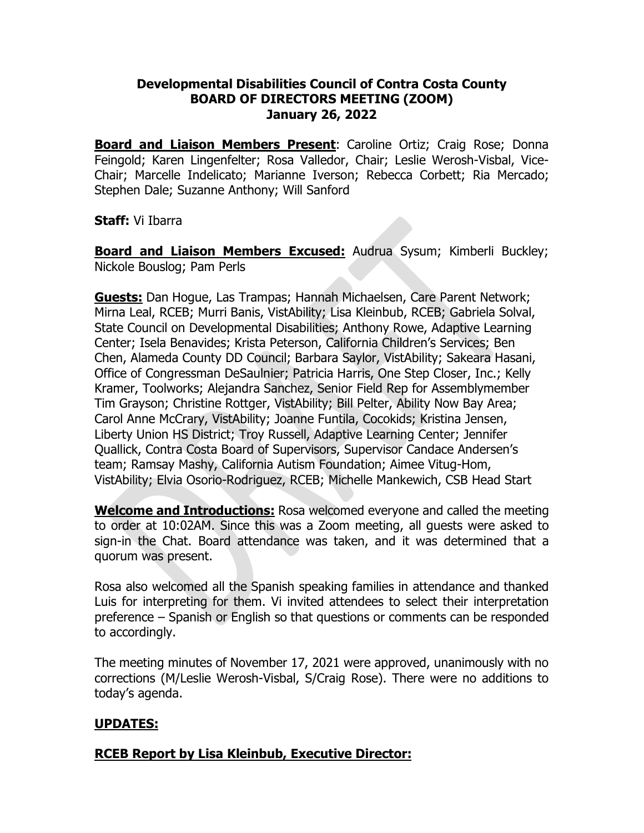### **Developmental Disabilities Council of Contra Costa County BOARD OF DIRECTORS MEETING (ZOOM) January 26, 2022**

**Board and Liaison Members Present**: Caroline Ortiz; Craig Rose; Donna Feingold; Karen Lingenfelter; Rosa Valledor, Chair; Leslie Werosh-Visbal, Vice-Chair; Marcelle Indelicato; Marianne Iverson; Rebecca Corbett; Ria Mercado; Stephen Dale; Suzanne Anthony; Will Sanford

### **Staff:** Vi Ibarra

**Board and Liaison Members Excused:** Audrua Sysum; Kimberli Buckley; Nickole Bouslog; Pam Perls

**Guests:** Dan Hogue, Las Trampas; Hannah Michaelsen, Care Parent Network; Mirna Leal, RCEB; Murri Banis, VistAbility; Lisa Kleinbub, RCEB; Gabriela Solval, State Council on Developmental Disabilities; Anthony Rowe, Adaptive Learning Center; Isela Benavides; Krista Peterson, California Children's Services; Ben Chen, Alameda County DD Council; Barbara Saylor, VistAbility; Sakeara Hasani, Office of Congressman DeSaulnier; Patricia Harris, One Step Closer, Inc.; Kelly Kramer, Toolworks; Alejandra Sanchez, Senior Field Rep for Assemblymember Tim Grayson; Christine Rottger, VistAbility; Bill Pelter, Ability Now Bay Area; Carol Anne McCrary, VistAbility; Joanne Funtila, Cocokids; Kristina Jensen, Liberty Union HS District; Troy Russell, Adaptive Learning Center; Jennifer Quallick, Contra Costa Board of Supervisors, Supervisor Candace Andersen's team; Ramsay Mashy, California Autism Foundation; Aimee Vitug-Hom, VistAbility; Elvia Osorio-Rodriguez, RCEB; Michelle Mankewich, CSB Head Start

**Welcome and Introductions:** Rosa welcomed everyone and called the meeting to order at 10:02AM. Since this was a Zoom meeting, all guests were asked to sign-in the Chat. Board attendance was taken, and it was determined that a quorum was present.

Rosa also welcomed all the Spanish speaking families in attendance and thanked Luis for interpreting for them. Vi invited attendees to select their interpretation preference – Spanish or English so that questions or comments can be responded to accordingly.

The meeting minutes of November 17, 2021 were approved, unanimously with no corrections (M/Leslie Werosh-Visbal, S/Craig Rose). There were no additions to today's agenda.

# **UPDATES:**

## **RCEB Report by Lisa Kleinbub, Executive Director:**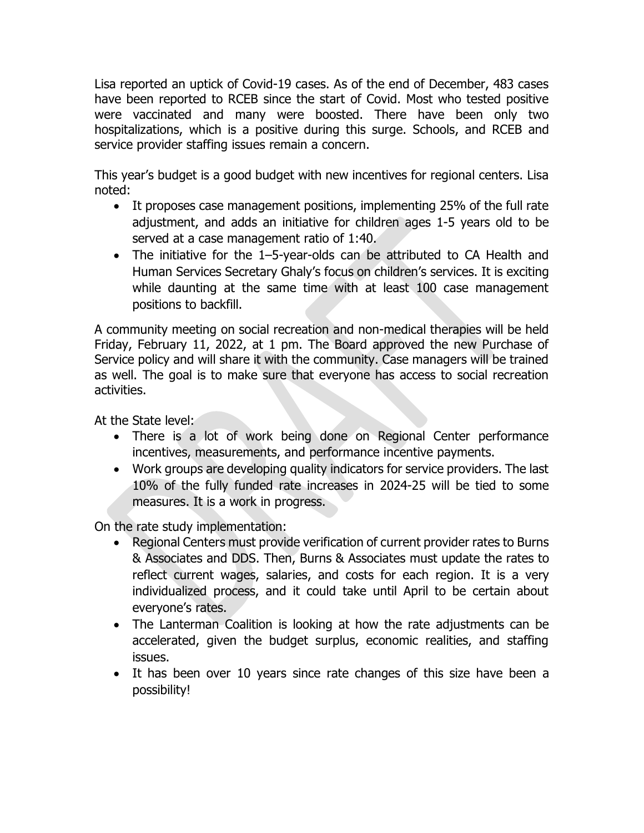Lisa reported an uptick of Covid-19 cases. As of the end of December, 483 cases have been reported to RCEB since the start of Covid. Most who tested positive were vaccinated and many were boosted. There have been only two hospitalizations, which is a positive during this surge. Schools, and RCEB and service provider staffing issues remain a concern.

This year's budget is a good budget with new incentives for regional centers. Lisa noted:

- It proposes case management positions, implementing 25% of the full rate adjustment, and adds an initiative for children ages 1-5 years old to be served at a case management ratio of 1:40.
- The initiative for the 1–5-year-olds can be attributed to CA Health and Human Services Secretary Ghaly's focus on children's services. It is exciting while daunting at the same time with at least 100 case management positions to backfill.

A community meeting on social recreation and non-medical therapies will be held Friday, February 11, 2022, at 1 pm. The Board approved the new Purchase of Service policy and will share it with the community. Case managers will be trained as well. The goal is to make sure that everyone has access to social recreation activities.

At the State level:

- There is a lot of work being done on Regional Center performance incentives, measurements, and performance incentive payments.
- Work groups are developing quality indicators for service providers. The last 10% of the fully funded rate increases in 2024-25 will be tied to some measures. It is a work in progress.

On the rate study implementation:

- Regional Centers must provide verification of current provider rates to Burns & Associates and DDS. Then, Burns & Associates must update the rates to reflect current wages, salaries, and costs for each region. It is a very individualized process, and it could take until April to be certain about everyone's rates.
- The Lanterman Coalition is looking at how the rate adjustments can be accelerated, given the budget surplus, economic realities, and staffing issues.
- It has been over 10 years since rate changes of this size have been a possibility!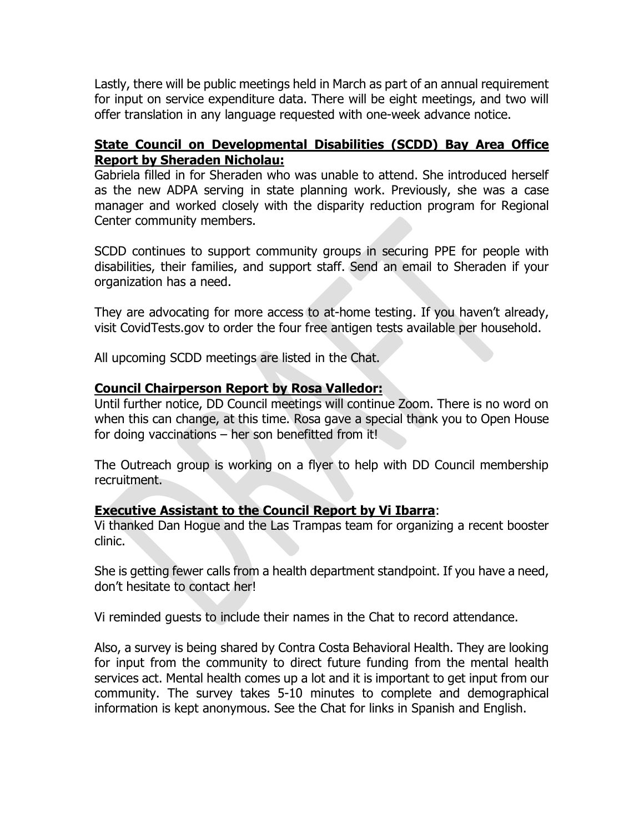Lastly, there will be public meetings held in March as part of an annual requirement for input on service expenditure data. There will be eight meetings, and two will offer translation in any language requested with one-week advance notice.

### **State Council on Developmental Disabilities (SCDD) Bay Area Office Report by Sheraden Nicholau:**

Gabriela filled in for Sheraden who was unable to attend. She introduced herself as the new ADPA serving in state planning work. Previously, she was a case manager and worked closely with the disparity reduction program for Regional Center community members.

SCDD continues to support community groups in securing PPE for people with disabilities, their families, and support staff. Send an email to Sheraden if your organization has a need.

They are advocating for more access to at-home testing. If you haven't already, visit CovidTests.gov to order the four free antigen tests available per household.

All upcoming SCDD meetings are listed in the Chat.

### **Council Chairperson Report by Rosa Valledor:**

Until further notice, DD Council meetings will continue Zoom. There is no word on when this can change, at this time. Rosa gave a special thank you to Open House for doing vaccinations – her son benefitted from it!

The Outreach group is working on a flyer to help with DD Council membership recruitment.

### **Executive Assistant to the Council Report by Vi Ibarra**:

Vi thanked Dan Hogue and the Las Trampas team for organizing a recent booster clinic.

She is getting fewer calls from a health department standpoint. If you have a need, don't hesitate to contact her!

Vi reminded guests to include their names in the Chat to record attendance.

Also, a survey is being shared by Contra Costa Behavioral Health. They are looking for input from the community to direct future funding from the mental health services act. Mental health comes up a lot and it is important to get input from our community. The survey takes 5-10 minutes to complete and demographical information is kept anonymous. See the Chat for links in Spanish and English.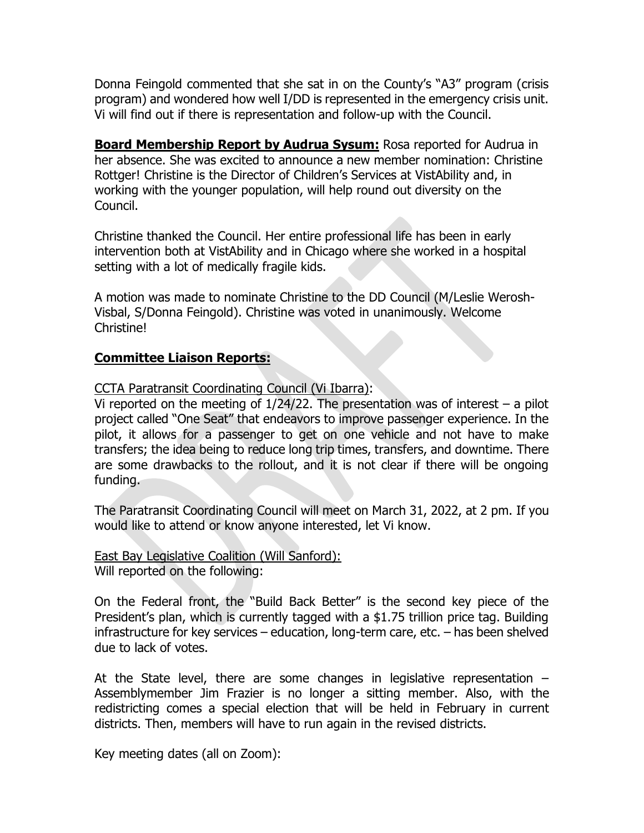Donna Feingold commented that she sat in on the County's "A3" program (crisis program) and wondered how well I/DD is represented in the emergency crisis unit. Vi will find out if there is representation and follow-up with the Council.

**Board Membership Report by Audrua Sysum:** Rosa reported for Audrua in her absence. She was excited to announce a new member nomination: Christine Rottger! Christine is the Director of Children's Services at VistAbility and, in working with the younger population, will help round out diversity on the Council.

Christine thanked the Council. Her entire professional life has been in early intervention both at VistAbility and in Chicago where she worked in a hospital setting with a lot of medically fragile kids.

A motion was made to nominate Christine to the DD Council (M/Leslie Werosh-Visbal, S/Donna Feingold). Christine was voted in unanimously. Welcome Christine!

#### **Committee Liaison Reports:**

CCTA Paratransit Coordinating Council (Vi Ibarra):

Vi reported on the meeting of  $1/24/22$ . The presentation was of interest – a pilot project called "One Seat" that endeavors to improve passenger experience. In the pilot, it allows for a passenger to get on one vehicle and not have to make transfers; the idea being to reduce long trip times, transfers, and downtime. There are some drawbacks to the rollout, and it is not clear if there will be ongoing funding.

The Paratransit Coordinating Council will meet on March 31, 2022, at 2 pm. If you would like to attend or know anyone interested, let Vi know.

East Bay Legislative Coalition (Will Sanford): Will reported on the following:

On the Federal front, the "Build Back Better" is the second key piece of the President's plan, which is currently tagged with a \$1.75 trillion price tag. Building infrastructure for key services – education, long-term care, etc. – has been shelved due to lack of votes.

At the State level, there are some changes in legislative representation – Assemblymember Jim Frazier is no longer a sitting member. Also, with the redistricting comes a special election that will be held in February in current districts. Then, members will have to run again in the revised districts.

Key meeting dates (all on Zoom):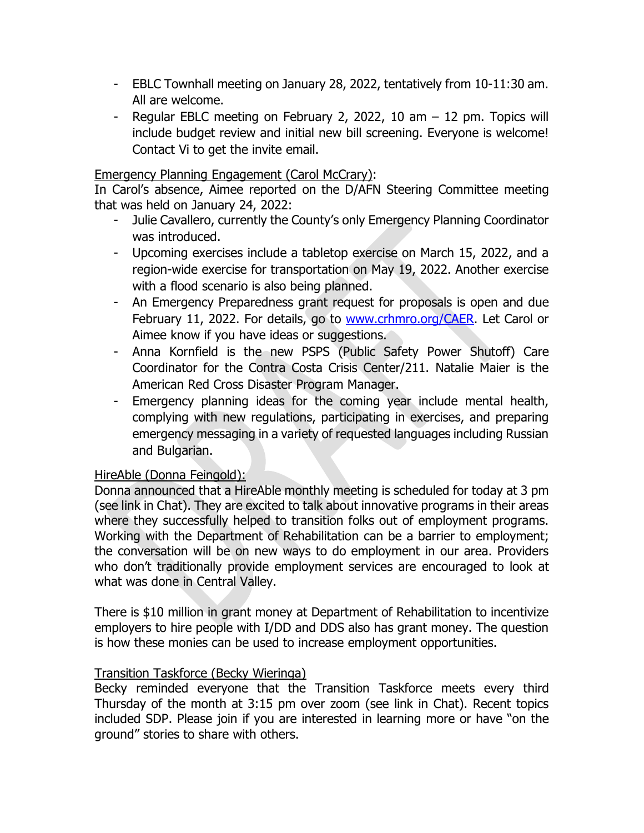- EBLC Townhall meeting on January 28, 2022, tentatively from 10-11:30 am. All are welcome.
- Regular EBLC meeting on February 2, 2022, 10 am  $-$  12 pm. Topics will include budget review and initial new bill screening. Everyone is welcome! Contact Vi to get the invite email.

#### Emergency Planning Engagement (Carol McCrary):

In Carol's absence, Aimee reported on the D/AFN Steering Committee meeting that was held on January 24, 2022:

- Julie Cavallero, currently the County's only Emergency Planning Coordinator was introduced.
- Upcoming exercises include a tabletop exercise on March 15, 2022, and a region-wide exercise for transportation on May 19, 2022. Another exercise with a flood scenario is also being planned.
- An Emergency Preparedness grant request for proposals is open and due February 11, 2022. For details, go to [www.crhmro.org/CAER.](http://www.crhmro.org/CAER) Let Carol or Aimee know if you have ideas or suggestions.
- Anna Kornfield is the new PSPS (Public Safety Power Shutoff) Care Coordinator for the Contra Costa Crisis Center/211. Natalie Maier is the American Red Cross Disaster Program Manager.
- Emergency planning ideas for the coming year include mental health, complying with new regulations, participating in exercises, and preparing emergency messaging in a variety of requested languages including Russian and Bulgarian.

### HireAble (Donna Feingold):

Donna announced that a HireAble monthly meeting is scheduled for today at 3 pm (see link in Chat). They are excited to talk about innovative programs in their areas where they successfully helped to transition folks out of employment programs. Working with the Department of Rehabilitation can be a barrier to employment; the conversation will be on new ways to do employment in our area. Providers who don't traditionally provide employment services are encouraged to look at what was done in Central Valley.

There is \$10 million in grant money at Department of Rehabilitation to incentivize employers to hire people with I/DD and DDS also has grant money. The question is how these monies can be used to increase employment opportunities.

#### Transition Taskforce (Becky Wieringa)

Becky reminded everyone that the Transition Taskforce meets every third Thursday of the month at 3:15 pm over zoom (see link in Chat). Recent topics included SDP. Please join if you are interested in learning more or have "on the ground" stories to share with others.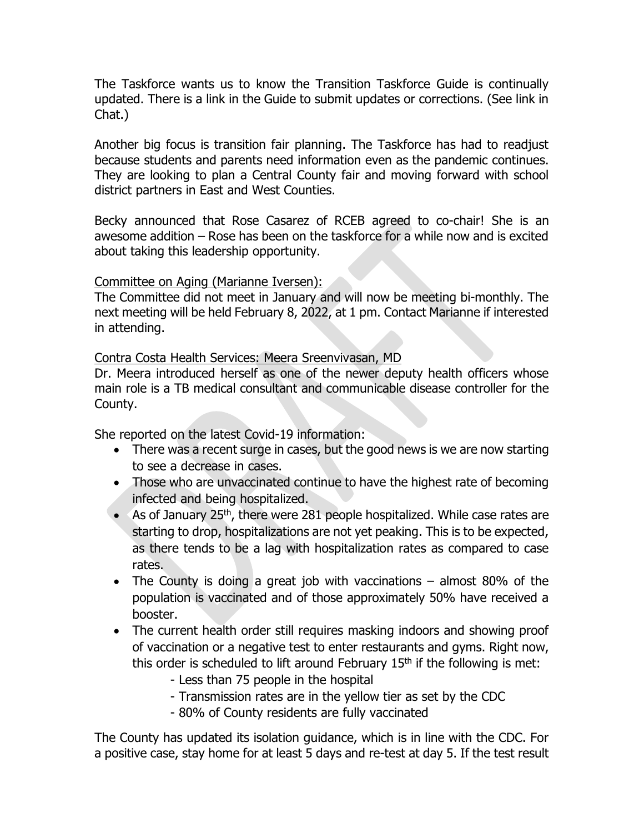The Taskforce wants us to know the Transition Taskforce Guide is continually updated. There is a link in the Guide to submit updates or corrections. (See link in Chat.)

Another big focus is transition fair planning. The Taskforce has had to readjust because students and parents need information even as the pandemic continues. They are looking to plan a Central County fair and moving forward with school district partners in East and West Counties.

Becky announced that Rose Casarez of RCEB agreed to co-chair! She is an awesome addition – Rose has been on the taskforce for a while now and is excited about taking this leadership opportunity.

#### Committee on Aging (Marianne Iversen):

The Committee did not meet in January and will now be meeting bi-monthly. The next meeting will be held February 8, 2022, at 1 pm. Contact Marianne if interested in attending.

#### Contra Costa Health Services: Meera Sreenvivasan, MD

Dr. Meera introduced herself as one of the newer deputy health officers whose main role is a TB medical consultant and communicable disease controller for the County.

She reported on the latest Covid-19 information:

- There was a recent surge in cases, but the good news is we are now starting to see a decrease in cases.
- Those who are unvaccinated continue to have the highest rate of becoming infected and being hospitalized.
- As of January  $25<sup>th</sup>$ , there were 281 people hospitalized. While case rates are starting to drop, hospitalizations are not yet peaking. This is to be expected, as there tends to be a lag with hospitalization rates as compared to case rates.
- The County is doing a great job with vaccinations almost 80% of the population is vaccinated and of those approximately 50% have received a booster.
- The current health order still requires masking indoors and showing proof of vaccination or a negative test to enter restaurants and gyms. Right now, this order is scheduled to lift around February  $15<sup>th</sup>$  if the following is met:
	- Less than 75 people in the hospital
	- Transmission rates are in the yellow tier as set by the CDC
	- 80% of County residents are fully vaccinated

The County has updated its isolation guidance, which is in line with the CDC. For a positive case, stay home for at least 5 days and re-test at day 5. If the test result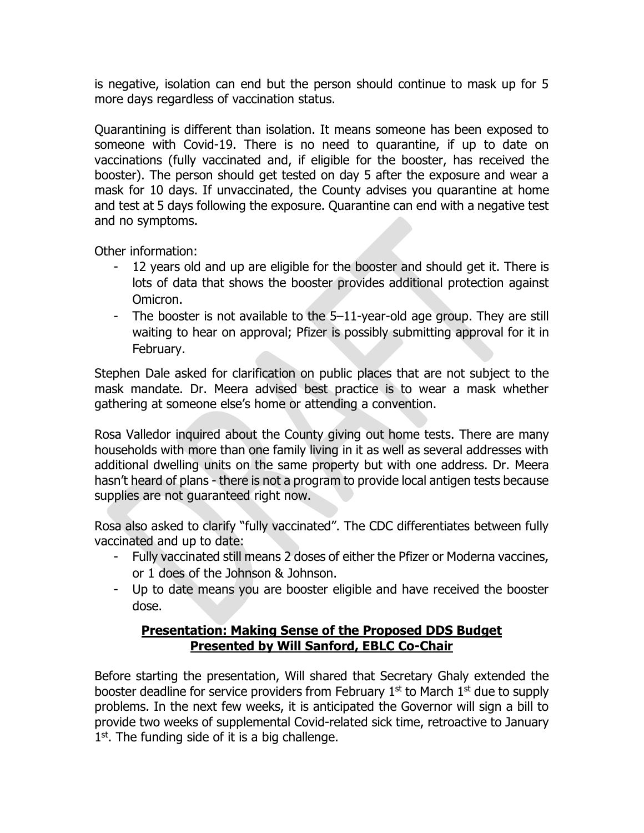is negative, isolation can end but the person should continue to mask up for 5 more days regardless of vaccination status.

Quarantining is different than isolation. It means someone has been exposed to someone with Covid-19. There is no need to quarantine, if up to date on vaccinations (fully vaccinated and, if eligible for the booster, has received the booster). The person should get tested on day 5 after the exposure and wear a mask for 10 days. If unvaccinated, the County advises you quarantine at home and test at 5 days following the exposure. Quarantine can end with a negative test and no symptoms.

Other information:

- 12 years old and up are eligible for the booster and should get it. There is lots of data that shows the booster provides additional protection against Omicron.
- The booster is not available to the 5–11-year-old age group. They are still waiting to hear on approval; Pfizer is possibly submitting approval for it in February.

Stephen Dale asked for clarification on public places that are not subject to the mask mandate. Dr. Meera advised best practice is to wear a mask whether gathering at someone else's home or attending a convention.

Rosa Valledor inquired about the County giving out home tests. There are many households with more than one family living in it as well as several addresses with additional dwelling units on the same property but with one address. Dr. Meera hasn't heard of plans - there is not a program to provide local antigen tests because supplies are not guaranteed right now.

Rosa also asked to clarify "fully vaccinated". The CDC differentiates between fully vaccinated and up to date:

- Fully vaccinated still means 2 doses of either the Pfizer or Moderna vaccines, or 1 does of the Johnson & Johnson.
- Up to date means you are booster eligible and have received the booster dose.

## **Presentation: Making Sense of the Proposed DDS Budget Presented by Will Sanford, EBLC Co-Chair**

Before starting the presentation, Will shared that Secretary Ghaly extended the booster deadline for service providers from February  $1<sup>st</sup>$  to March  $1<sup>st</sup>$  due to supply problems. In the next few weeks, it is anticipated the Governor will sign a bill to provide two weeks of supplemental Covid-related sick time, retroactive to January  $1<sup>st</sup>$ . The funding side of it is a big challenge.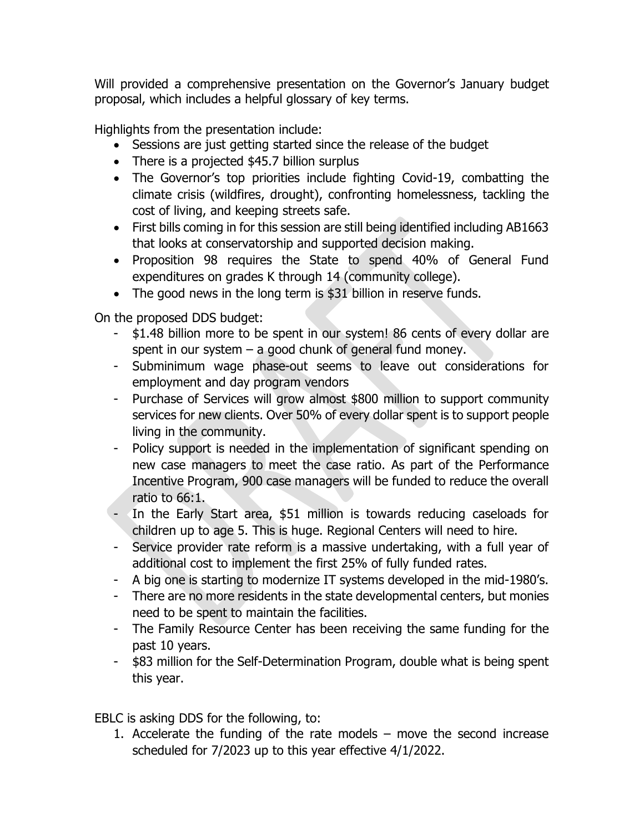Will provided a comprehensive presentation on the Governor's January budget proposal, which includes a helpful glossary of key terms.

Highlights from the presentation include:

- Sessions are just getting started since the release of the budget
- There is a projected \$45.7 billion surplus
- The Governor's top priorities include fighting Covid-19, combatting the climate crisis (wildfires, drought), confronting homelessness, tackling the cost of living, and keeping streets safe.
- First bills coming in for this session are still being identified including AB1663 that looks at conservatorship and supported decision making.
- Proposition 98 requires the State to spend 40% of General Fund expenditures on grades K through 14 (community college).
- The good news in the long term is \$31 billion in reserve funds.

On the proposed DDS budget:

- \$1.48 billion more to be spent in our system! 86 cents of every dollar are spent in our system  $-$  a good chunk of general fund money.
- Subminimum wage phase-out seems to leave out considerations for employment and day program vendors
- Purchase of Services will grow almost \$800 million to support community services for new clients. Over 50% of every dollar spent is to support people living in the community.
- Policy support is needed in the implementation of significant spending on new case managers to meet the case ratio. As part of the Performance Incentive Program, 900 case managers will be funded to reduce the overall ratio to 66:1.
- In the Early Start area, \$51 million is towards reducing caseloads for children up to age 5. This is huge. Regional Centers will need to hire.
- Service provider rate reform is a massive undertaking, with a full year of additional cost to implement the first 25% of fully funded rates.
- A big one is starting to modernize IT systems developed in the mid-1980's.
- There are no more residents in the state developmental centers, but monies need to be spent to maintain the facilities.
- The Family Resource Center has been receiving the same funding for the past 10 years.
- \$83 million for the Self-Determination Program, double what is being spent this year.

EBLC is asking DDS for the following, to:

1. Accelerate the funding of the rate models – move the second increase scheduled for 7/2023 up to this year effective 4/1/2022.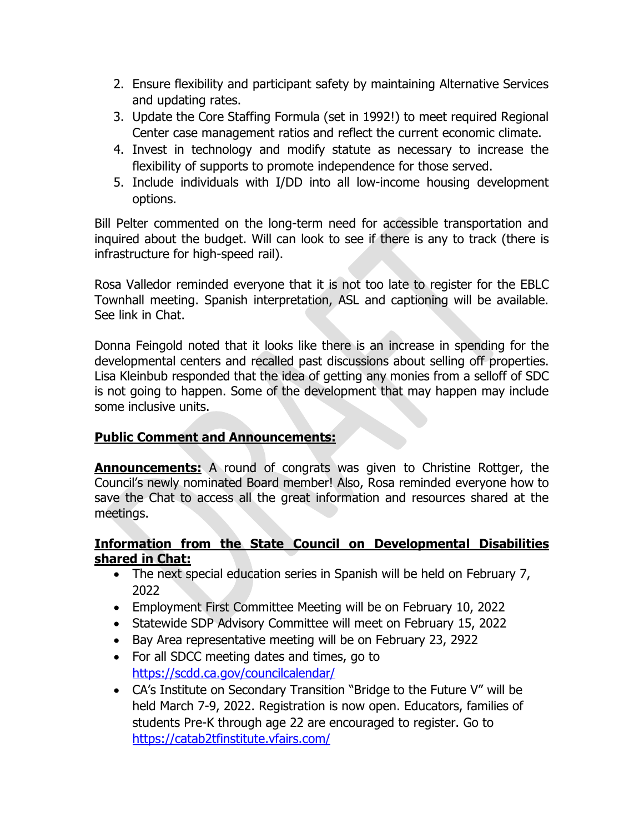- 2. Ensure flexibility and participant safety by maintaining Alternative Services and updating rates.
- 3. Update the Core Staffing Formula (set in 1992!) to meet required Regional Center case management ratios and reflect the current economic climate.
- 4. Invest in technology and modify statute as necessary to increase the flexibility of supports to promote independence for those served.
- 5. Include individuals with I/DD into all low-income housing development options.

Bill Pelter commented on the long-term need for accessible transportation and inquired about the budget. Will can look to see if there is any to track (there is infrastructure for high-speed rail).

Rosa Valledor reminded everyone that it is not too late to register for the EBLC Townhall meeting. Spanish interpretation, ASL and captioning will be available. See link in Chat.

Donna Feingold noted that it looks like there is an increase in spending for the developmental centers and recalled past discussions about selling off properties. Lisa Kleinbub responded that the idea of getting any monies from a selloff of SDC is not going to happen. Some of the development that may happen may include some inclusive units.

## **Public Comment and Announcements:**

**Announcements:** A round of congrats was given to Christine Rottger, the Council's newly nominated Board member! Also, Rosa reminded everyone how to save the Chat to access all the great information and resources shared at the meetings.

### **Information from the State Council on Developmental Disabilities shared in Chat:**

- The next special education series in Spanish will be held on February 7, 2022
- Employment First Committee Meeting will be on February 10, 2022
- Statewide SDP Advisory Committee will meet on February 15, 2022
- Bay Area representative meeting will be on February 23, 2922
- For all SDCC meeting dates and times, go to <https://scdd.ca.gov/councilcalendar/>
- CA's Institute on Secondary Transition "Bridge to the Future V" will be held March 7-9, 2022. Registration is now open. Educators, families of students Pre-K through age 22 are encouraged to register. Go to <https://catab2tfinstitute.vfairs.com/>